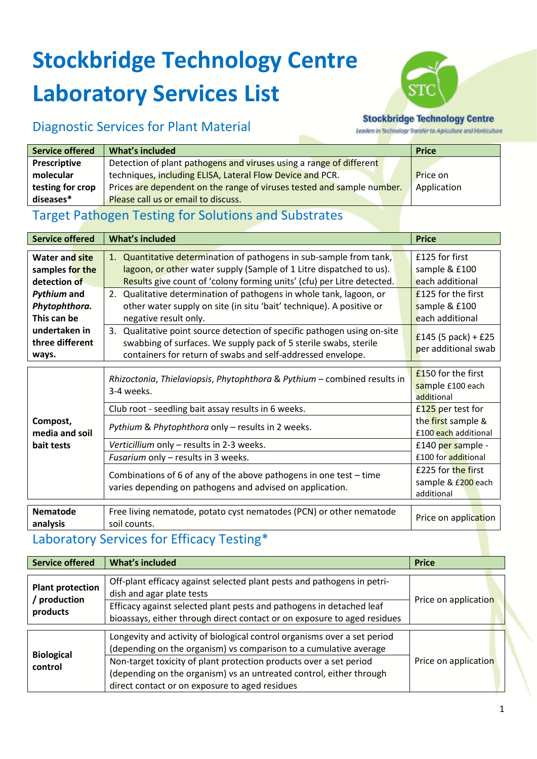# **Stockbridge Technology Centre Laboratory Services List**



### Diagnostic Services for Plant Material

#### **Stockbridge Technology Centre**

Leaders in Technology Transfer to Agriculture and Horticulture

| <b>Service offered</b> | What's included                                                        | <b>Price</b> |
|------------------------|------------------------------------------------------------------------|--------------|
| <b>Prescriptive</b>    | Detection of plant pathogens and viruses using a range of different    |              |
| molecular              | techniques, including ELISA, Lateral Flow Device and PCR.              | Price on     |
| testing for crop       | Prices are dependent on the range of viruses tested and sample number. | Application  |
| diseases*              | Please call us or email to discuss.                                    |              |

### Target Pathogen Testing for Solutions and Substrates

| <b>Service offered</b>                    | <b>What's included</b>                                                                                                                                                                                      | <b>Price</b>                                           |
|-------------------------------------------|-------------------------------------------------------------------------------------------------------------------------------------------------------------------------------------------------------------|--------------------------------------------------------|
|                                           |                                                                                                                                                                                                             |                                                        |
| <b>Water and site</b>                     | 1. Quantitative determination of pathogens in sub-sample from tank,                                                                                                                                         | £125 for first                                         |
| samples for the                           | lagoon, or other water supply (Sample of 1 Litre dispatched to us).                                                                                                                                         | sample & £100                                          |
| detection of                              | Results give count of 'colony forming units' (cfu) per Litre detected.                                                                                                                                      | each additional                                        |
| <b>Pythium and</b>                        | 2. Qualitative determination of pathogens in whole tank, lagoon, or                                                                                                                                         | £125 for the first                                     |
| Phytophthora.                             | other water supply on site (in situ 'bait' technique). A positive or                                                                                                                                        | sample & £100                                          |
| This can be                               | negative result only.                                                                                                                                                                                       | each additional                                        |
| undertaken in<br>three different<br>ways. | 3. Qualitative point source detection of specific pathogen using on-site<br>swabbing of surfaces. We supply pack of 5 sterile swabs, sterile<br>containers for return of swabs and self-addressed envelope. | £145 (5 pack) + £25<br>per additional swab             |
| Compost,<br>media and soil<br>bait tests  | Rhizoctonia, Thielaviopsis, Phytophthora & Pythium - combined results in<br>3-4 weeks.                                                                                                                      | $£150$ for the first<br>sample £100 each<br>additional |
|                                           | Club root - seedling bait assay results in 6 weeks.                                                                                                                                                         | £125 per test for                                      |
|                                           | Pythium & Phytophthora only - results in 2 weeks.                                                                                                                                                           | the first sample &<br>£100 each additional             |
|                                           | Verticillium only - results in 2-3 weeks.                                                                                                                                                                   | £140 per sample -                                      |
|                                           | Fusarium only - results in 3 weeks.                                                                                                                                                                         | £100 for additional                                    |
|                                           | Combinations of 6 of any of the above pathogens in one test - time<br>varies depending on pathogens and advised on application.                                                                             | £225 for the first                                     |
|                                           |                                                                                                                                                                                                             | sample & £200 each<br>additional                       |
| <b>Nematode</b><br>analysis               | Free living nematode, potato cyst nematodes (PCN) or other nematode<br>soil counts.                                                                                                                         | Price on application                                   |

#### Laboratory Services for Efficacy Testing\*

| <b>Service offered</b>                              | What's included                                                                                                                                                                                                                                                                                                                              | <b>Price</b>         |
|-----------------------------------------------------|----------------------------------------------------------------------------------------------------------------------------------------------------------------------------------------------------------------------------------------------------------------------------------------------------------------------------------------------|----------------------|
| <b>Plant protection</b><br>/ production<br>products | Off-plant efficacy against selected plant pests and pathogens in petri-<br>dish and agar plate tests<br>Efficacy against selected plant pests and pathogens in detached leaf<br>bioassays, either through direct contact or on exposure to aged residues                                                                                     | Price on application |
| <b>Biological</b><br>control                        | Longevity and activity of biological control organisms over a set period<br>(depending on the organism) vs comparison to a cumulative average<br>Non-target toxicity of plant protection products over a set period<br>(depending on the organism) vs an untreated control, either through<br>direct contact or on exposure to aged residues | Price on application |